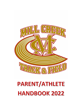

# PARENT/ATHLETE **HANDBOOK 2022**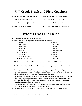## **Mill Creek Track and Field Coaches:**

Girls Head Coach: Jed Hodges (sprints, jumps) Boys Head Coach: Will Shelton (throws)

Asst. Coach: David Moore (PV, hurdles) Asst. Coach: Andy Christie (distance)

Asst. Coach: Michael Sexton (distance) Asst. Coach: Andre Bevily (sprints)

Asst. Coach: Nick Campbell (throws) Asst. Coach: Susan Larence (mid-distance)

#### **What is Track and Field?**

- A spring sport that goes from January-May
- Consists of the following events, in this order at most meets:

|    | <b>Discus</b>         | 10.100m          |
|----|-----------------------|------------------|
|    | 2. High Jump          | 11.4 x 200m      |
|    | 3. Long Jump          | 12.1600m         |
|    | 4. Pole Vault         | 13.400m          |
|    | 5. Shot Put           | 14. 300m Hurdles |
|    | 6. Triple Jump        | 15.800m          |
|    | 7. $4 \times 800$ m   | 16.200m          |
|    | 8. Girls 100m Hurdles | 17.3200m         |
| 9. | Boys 110m Hurdles     | 18.4 x 400m      |
|    |                       |                  |

- The Field Events go first, with 2 sessions to accommodate boys/girls and the different events
- Track events start once Field events have gotten underway, with girls running an event first, then the boys
- Running events are divided into heats, with multiple heats possibly needed depending on the event and size of the meet. Usually, the order of heats is slower to fastest, but it can vary.
- Places are determined by the best performances out of all heats
- Invitationals are big meets that feature multiple teams (sometimes as many as 20 or more). These usually take place on Saturdays and are limited to the top 2 performers in an event for a school, and usually one relay team in that event for a school. Some Invitationals for JV or underclassmen are held on weekdays.
- Dual (2 teams) or Tri (3 teams) are other popular meets. These meets allow for unlimited participants, so that all athletes get a chance to compete
- Varsity athletes may sometimes sit out of smaller meets to prepare for Invitationals
- Individuals score points for their team. Scoring is as follows: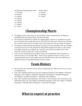| Invitationals/Championship meets | Dual/Tri Meet   |
|----------------------------------|-----------------|
| $1st-10$ points                  | $1st-5$ points  |
| $2nd - 8$ points                 | $2nd-3$ points  |
| $3rd - 6$ points                 | $3rd - 1$ point |
| 4 <sup>th</sup> -5 points        |                 |
| $5th-4$ points                   |                 |
| $6th-3$ points                   |                 |
| 7 <sup>th</sup> -2 points        |                 |
| 8 <sup>th</sup> -1 point         |                 |
|                                  |                 |

## **Championship Meets**

- The biggest meets of the season are the Gwinnett County Championships, the Region 8-AAAAAAA Meet, the Sectional Meet, and the State Meet.
- The Gwinnett County Meet is mainly for bragging rights. However, if an athlete is near the top in Gwinnett, then usually they can do very well at the State level. Only the top 2 athletes for a school in each event can compete, and 2 relay teams per relay per school are allowed.
- The Region 8-AAAAAAA Meet determines who goes to the Sectional Meet. The top 4 athletes in each event move on to the AAAAAA Sectional B Meet. Region team titles are also valued very highly. Only the top 3 athletes for a school in each event can compete, and 1 relay teams per school in each of the 3 relays are allowed
- There are two AAAAAAA Sectional Meets and we are in Sectional B. The top 8 placers in each event move on to the State Meet. Teams do not qualify for State as a team: you are represented by however many athletes get out of the Sectional, so the more athletes you qualify, the more scoring opportunities you have at State.

#### **Team History**

- We have been very fortunate to have built a strong program at Mill Creek. Here are our top accomplishments
- Girls: 2013 AAAAAA State Runner-Up, 2021 Region 8-AAAAAAA, 2019 Region 6-AAAAAAA Champions, 2017 Region 6-AAAAAAA Champions, 2016 Region 7-AAAAAA Champions, 2013 Region 7-AAAAAA Champions, 3 individual State Champions
- Boys: 2013 AAAAAA State Champions, 2012 State 3rd Place Finisher, 2011 State Runner Up, 2009 State Runner Up, 2021 Region 8-AAAAAAA Champions, 2018-2011 Region 7-AAAAAA Champions, 9 individual State Champions, 1 relay State Champion

#### **What to expect at practice**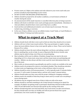- Practice starts at 2:30pm in the stadium and ends whenever your event coach ends your practice (usually by 4pm depending on your event)
- DO NOT GO INTO THE BUILDING AFTER PRACTICE.
- Athletes should be prepared for all weather conditions, as track features all kinds of weather during the season
- An announcement will be made if practice is cancelled-otherwise plan on being at practice
- Athletes will check in with their event coach and begin practice immediately. Attendance is vital and athletes should let their event coach if they have a conflict.
- Good nutrition and additional preventative care at home may be necessary. This may include icing, stretching, or exercises.
- In the case of injury, athletes can see our athletic trainer, Coach Taube, or Coach Watkins in the Gym Athletic Training room before practice.

### **What to expect at a Track Meet**

- Athletes should check with their event coach to find out when they should arrive at meets
- Athletes will race in their team issued uniform. They may participate in regular running shoes, but most athletes choose to buy event specific spikes or shoes. These can be found at Runners Fit or online.
- Athletes should not leave the meet without doing their cool down, and asking a coach if there is anything they can do to help. In cases of big meets like the Jerry Arnold, some athletes may be asked to help, even if they are not participating
- Meet schedules will be sent to athletes. Schedules change from one meet to the next, depending on if it is a home meet, away meet, and how many teams are participating and weather. Athletes can also always ask their event coach for meet information before the day of the meet.
- Meet results are always posted on ga.milesplit.com and live results are available at the meet.
- Athletes need to be prepared for meets to run behind schedule. They should pay attention to what events are happening on the track, so they will know when to warm up.
- Athletes should be aware of all announcements.  $1<sup>st</sup>$  call is typically made 15 minutes before an event, 2nd call is made 10 minutes before, and last call is made 5 minutes before.
- Athletes should make sure they come with the proper clothing for changing conditions
- Athletes need to be mindful of what they bring to meets and try to make sure everything is secure during meets.
- All athletes may be assigned some form of duty to help out with at the meets.
- Athletes should try and find something to do to help instead of waiting to be asked! For example, all athletes not getting ready to participate should help with the hurdles before the 100/110 and 300 hurdle races because that speeds up the running of the meet.
- Athletes should bring their own food and drink, since track meets can take several hours, but they should make sure they are healthy and will not prevent them from a good performance. See event coaches for suggestions.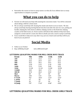• Remember the reason we host so many meets is so that all of our athletes have as many opportunities to compete as possible.

#### **What you can do to help**

- Parents-we will need your help with manning the concession stand. You will be contacted about taking a shift for a home meet.
- We are always need help with cleaning the stands and check in area at meets. We also always need help clearing starting blocks from the track after the start of a race, putting out hurdles, helping the clerk check in athletes, helping coaches at the finish line, helping coaches at the field events, etc. Event coaches will inform their athletes if they have been assigned a certain task for a meet, but when in doubt, just ask a coach or jump in and help.
- If you would like to help out in any other way, just see a head coach and they will let you know if you can pitch in!

#### **Social Media**

- Follow us on Twitter:
- Boys: @MCBoysTandF Girls: @MCGirlsTandF

#### **LETTERING QUALIFYING MARKS FOR MILL CREEK BOYS TRACK**

| Event           | 9th   | 10th   | 11th   | 12 <sub>th</sub> |
|-----------------|-------|--------|--------|------------------|
| 100             | 11.8  | 11.6   | 11.4   | 11.3             |
| 200             | 24.5  | 23.9   | 23.7   | 23.5             |
| 400             | 55.5  | 54.5   | 53.5   | 52.5             |
| 800             | 2:20  | 2:15   | 2:10   | 2:05             |
| 1600            | 5:15  | 5:10   | 5:05   | 4:55             |
| 3200            | 11:20 | 11:10  | 11:00  | 10:50            |
| <b>110HH</b>    | 18.5  | 18.0   | 17.5   | 17.0             |
| 300 IH          | 47.0  | 45.0   | 43.0   | 41.0             |
| <b>Shot</b>     | 40'   | 42'    | 44'    | 46'              |
| <b>Discus</b>   | 105'  | 115'   | 125'   | 135'             |
| <b>P.</b> Vault | 9'6'' | 10'6'' | 11'6'' | 12'6''           |
| L. Jump         | 17'   | 18'    | 19'    | 20'              |
| T. Jump         | 35'   | 37'    | 39'    | 41'              |
| H. Jump         | 5'8'' | 5'10'' | 6'00'' | 6'02"            |

#### **LETTERING QUALIFYING MARKS FOR MILL CREEK GIRLS TRACK**